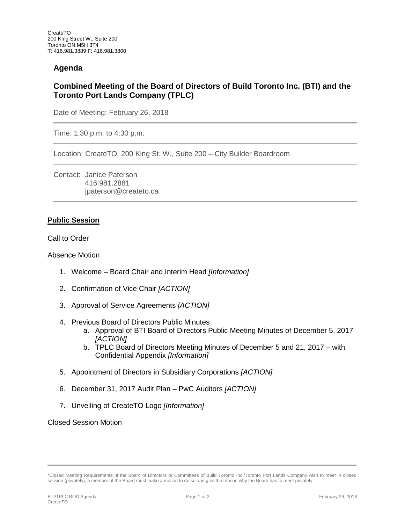# **Agenda**

# **Combined Meeting of the Board of Directors of Build Toronto Inc. (BTI) and the Toronto Port Lands Company (TPLC)**

Date of Meeting: February 26, 2018

Time: 1:30 p.m. to 4:30 p.m.

Location: CreateTO, 200 King St. W., Suite 200 – City Builder Boardroom

Contact: Janice Paterson 416.981.2881 jpaterson@createto.ca

### **Public Session**

Call to Order

Absence Motion

- 1. Welcome Board Chair and Interim Head *[Information]*
- 2. Confirmation of Vice Chair *[ACTION]*
- 3. Approval of Service Agreements *[ACTION]*
- 4. Previous Board of Directors Public Minutes
	- a. Approval of BTI Board of Directors Public Meeting Minutes of December 5, 2017 *[ACTION]*
	- b. TPLC Board of Directors Meeting Minutes of December 5 and 21, 2017 with Confidential Appendix *[Information]*
- 5. Appointment of Directors in Subsidiary Corporations *[ACTION]*
- 6. December 31, 2017 Audit Plan PwC Auditors *[ACTION]*
- 7. Unveiling of CreateTO Logo *[Information]*

### Closed Session Motion

<sup>\*</sup>Closed Meeting Requirements: If the Board of Directors or Committees of Build Toronto Inc./Toronto Port Lands Company wish to meet in closed session (privately), a member of the Board must make a motion to do so and give the reason why the Board has to meet privately.